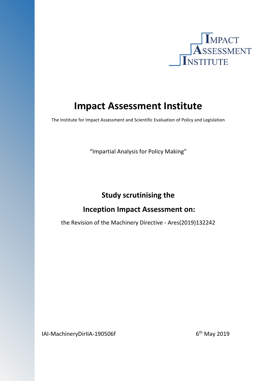

# **Impact Assessment Institute**

The Institute for Impact Assessment and Scientific Evaluation of Policy and Legislation

"Impartial Analysis for Policy Making"

# **Study scrutinising the**

## **Inception Impact Assessment on:**

the Revision of the Machinery Directive - Ares(2019)132242

IAI-MachineryDirIIA-190506f  $6<sup>th</sup>$  May 2019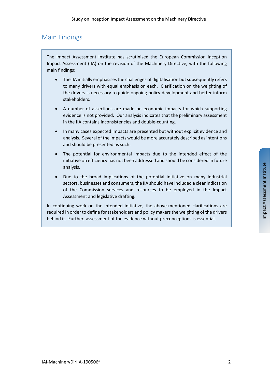### Main Findings

The Impact Assessment Institute has scrutinised the European Commission Inception Impact Assessment (IIA) on the revision of the Machinery Directive, with the following main findings:

- The IIA initially emphasises the challenges of digitalisation but subsequently refers to many drivers with equal emphasis on each. Clarification on the weighting of the drivers is necessary to guide ongoing policy development and better inform stakeholders.
- A number of assertions are made on economic impacts for which supporting evidence is not provided. Our analysis indicates that the preliminary assessment in the IIA contains inconsistencies and double-counting.
- In many cases expected impacts are presented but without explicit evidence and analysis. Several of the impacts would be more accurately described as intentions and should be presented as such.
- The potential for environmental impacts due to the intended effect of the initiative on efficiency has not been addressed and should be considered in future analysis.
- Due to the broad implications of the potential initiative on many industrial sectors, businesses and consumers, the IIA should have included a clear indication of the Commission services and resources to be employed in the Impact Assessment and legislative drafting.

In continuing work on the intended initiative, the above-mentioned clarifications are required in order to define for stakeholders and policy makers the weighting of the drivers behind it. Further, assessment of the evidence without preconceptions is essential.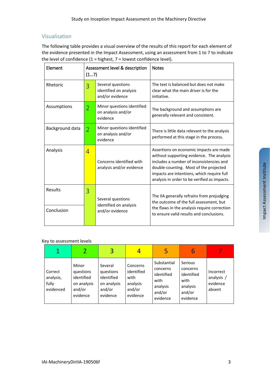#### Visualisation

The following table provides a visual overview of the results of this report for each element of the evidence presented in the Impact Assessment, using an assessment from 1 to 7 to indicate the level of confidence  $(1 =$  highest,  $7 =$  lowest confidence level).

| Element               | (17)           | Assessment level & description                                 | <b>Notes</b>                                                                                                                                                                                                                                                             |  |  |
|-----------------------|----------------|----------------------------------------------------------------|--------------------------------------------------------------------------------------------------------------------------------------------------------------------------------------------------------------------------------------------------------------------------|--|--|
| Rhetoric              | 3              | Several questions<br>identified on analysis<br>and/or evidence | The text is balanced but does not make<br>clear what the main driver is for the<br>initiative.                                                                                                                                                                           |  |  |
| Assumptions           | $\overline{2}$ | Minor questions identified<br>on analysis and/or<br>evidence   | The background and assumptions are<br>generally relevant and consistent.                                                                                                                                                                                                 |  |  |
| Background data       | $\overline{2}$ | Minor questions identified<br>on analysis and/or<br>evidence   | There is little data relevant to the analysis<br>performed at this stage in the process.                                                                                                                                                                                 |  |  |
| Analysis              | $\overline{4}$ | Concerns identified with<br>analysis and/or evidence           | Assertions on economic impacts are made<br>without supporting evidence. The analysis<br>includes a number of inconsistencies and<br>double-counting. Most of the projected<br>impacts are intentions, which require full<br>analysis in order to be verified as impacts. |  |  |
| Results<br>Conclusion | 3              | Several questions<br>identified on analysis<br>and/or evidence | The IIA generally refrains from prejudging<br>the outcome of the full assessment, but<br>the flaws in the analysis require correction<br>to ensure valid results and conclusions.                                                                                        |  |  |

#### Key to assessment levels

| $\mathbf{1}$                               |                                                                       | 3                                                                       |                                                                  | 5                                                                               | 6                                                                           |                                               |
|--------------------------------------------|-----------------------------------------------------------------------|-------------------------------------------------------------------------|------------------------------------------------------------------|---------------------------------------------------------------------------------|-----------------------------------------------------------------------------|-----------------------------------------------|
| Correct<br>analysis,<br>fully<br>evidenced | Minor<br>questions<br>identified<br>on analysis<br>and/or<br>evidence | Several<br>questions<br>identified<br>on analysis<br>and/or<br>evidence | Concerns<br>identified<br>with<br>analysis<br>and/or<br>evidence | Substantial<br>concerns<br>identified<br>with<br>analysis<br>and/or<br>evidence | Serious<br>concerns<br>identified<br>with<br>analysis<br>and/or<br>evidence | Incorrect<br>analysis /<br>evidence<br>absent |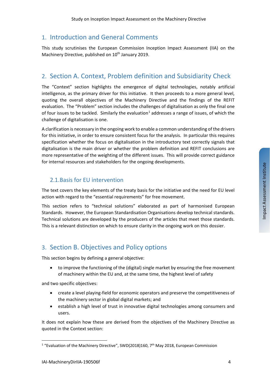### 1. Introduction and General Comments

This study scrutinises the European Commission Inception Impact Assessment (IIA) on the Machinery Directive, published on 10<sup>th</sup> January 2019.

### 2. Section A. Context, Problem definition and Subsidiarity Check

The "Context" section highlights the emergence of digital technologies, notably artificial intelligence, as the primary driver for this initiative. It then proceeds to a more general level, quoting the overall objectives of the Machinery Directive and the findings of the REFIT evaluation. The "Problem" section includes the challenges of digitalisation as only the final one of four issues to be tackled. Similarly the evaluation<sup>[1](#page-3-0)</sup> addresses a range of issues, of which the challenge of digitalisation is one.

A clarification is necessary in the ongoing work to enable a common understanding of the drivers for this initiative, in order to ensure consistent focus for the analysis. In particular this requires specification whether the focus on digitalisation in the introductory text correctly signals that digitalisation is the main driver or whether the problem definition and REFIT conclusions are more representative of the weighting of the different issues. This will provide correct guidance for internal resources and stakeholders for the ongoing developments.

### 2.1.Basis for EU intervention

The text covers the key elements of the treaty basis for the initiative and the need for EU level action with regard to the "essential requirements" for free movement.

This section refers to "technical solutions" elaborated as part of harmonised European Standards. However, the European Standardisation Organisations develop technical standards. Technical solutions are developed by the producers of the articles that meet those standards. This is a relevant distinction on which to ensure clarity in the ongoing work on this dossier.

### 3. Section B. Objectives and Policy options

This section begins by defining a general objective:

to improve the functioning of the (digital) single market by ensuring the free movement of machinery within the EU and, at the same time, the highest level of safety

and two specific objectives:

- create a level playing-field for economic operators and preserve the competitiveness of the machinery sector in global digital markets; and
- establish a high level of trust in innovative digital technologies among consumers and users.

It does not explain how these are derived from the objectives of the Machinery Directive as quoted in the Context section:

Impact Assessment Institute

Impact Assessment Institute

<span id="page-3-0"></span> $\overline{a}$ <sup>1</sup> "Evaluation of the Machinery Directive", SWD(2018)160,  $7<sup>th</sup>$  May 2018, European Commission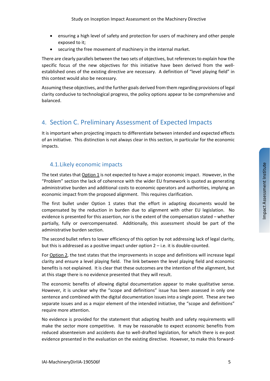- ensuring a high level of safety and protection for users of machinery and other people exposed to it;
- securing the free movement of machinery in the internal market.

There are clearly parallels between the two sets of objectives, but references to explain how the specific focus of the new objectives for this initiative have been derived from the wellestablished ones of the existing directive are necessary. A definition of "level playing field" in this context would also be necessary.

Assuming these objectives, and the further goals derived from them regarding provisions of legal clarity conducive to technological progress, the policy options appear to be comprehensive and balanced.

### 4. Section C. Preliminary Assessment of Expected Impacts

It is important when projecting impacts to differentiate between intended and expected effects of an initiative. This distinction is not always clear in this section, in particular for the economic impacts.

#### 4.1.Likely economic impacts

The text states that  $Option 1$  is not expected to have a major economic impact. However, in the "Problem" section the lack of coherence with the wider EU framework is quoted as generating administrative burden and additional costs to economic operators and authorities, implying an economic impact from the proposed alignment. This requires clarification.

The first bullet under Option 1 states that the effort in adapting documents would be compensated by the reduction in burden due to alignment with other EU legislation. No evidence is presented for this assertion, nor is the extent of the compensation stated – whether partially, fully or overcompensated. Additionally, this assessment should be part of the administrative burden section.

The second bullet refers to lower efficiency of this option by not addressing lack of legal clarity, but this is addressed as a positive impact under option  $2 - i.e.$  it is double-counted.

For Option 2, the text states that the improvements in scope and definitions will increase legal clarity and ensure a level playing field. The link between the level playing field and economic benefits is not explained. It is clear that these outcomes are the intention of the alignment, but at this stage there is no evidence presented that they will result.

The economic benefits of allowing digital documentation appear to make qualitative sense. However, it is unclear why the "scope and definitions" issue has been assessed in only one sentence and combined with the digital documentation issues into a single point. These are two separate issues and as a major element of the intended initiative, the "scope and definitions" require more attention.

No evidence is provided for the statement that adapting health and safety requirements will make the sector more competitive. It may be reasonable to expect economic benefits from reduced absenteeism and accidents due to well-drafted legislation, for which there is ex-post evidence presented in the evaluation on the existing directive. However, to make this forward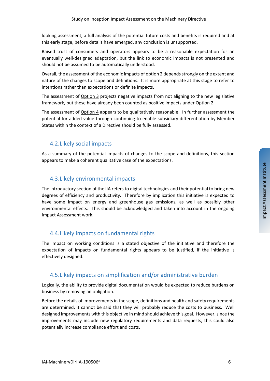looking assessment, a full analysis of the potential future costs and benefits is required and at this early stage, before details have emerged, any conclusion is unsupported.

Raised trust of consumers and operators appears to be a reasonable expectation for an eventually well-designed adaptation, but the link to economic impacts is not presented and should not be assumed to be automatically understood.

Overall, the assessment of the economic impacts of option 2 depends strongly on the extent and nature of the changes to scope and definitions. It is more appropriate at this stage to refer to intentions rather than expectations or definite impacts.

The assessment of Option 3 projects negative impacts from not aligning to the new legislative framework, but these have already been counted as positive impacts under Option 2.

The assessment of Option 4 appears to be qualitatively reasonable. In further assessment the potential for added value through continuing to enable subsidiary differentiation by Member States within the context of a Directive should be fully assessed.

### 4.2.Likely social impacts

As a summary of the potential impacts of changes to the scope and definitions, this section appears to make a coherent qualitative case of the expectations.

### 4.3.Likely environmental impacts

The introductory section of the IIA refers to digital technologies and their potential to bring new degrees of efficiency and productivity. Therefore by implication this initiative is expected to have some impact on energy and greenhouse gas emissions, as well as possibly other environmental effects. This should be acknowledged and taken into account in the ongoing Impact Assessment work.

### 4.4.Likely impacts on fundamental rights

The impact on working conditions is a stated objective of the initiative and therefore the expectation of impacts on fundamental rights appears to be justified, if the initiative is effectively designed.

#### 4.5.Likely impacts on simplification and/or administrative burden

Logically, the ability to provide digital documentation would be expected to reduce burdens on business by removing an obligation.

Before the details of improvements in the scope, definitions and health and safety requirements are determined, it cannot be said that they will probably reduce the costs to business. Well designed improvements with this objective in mind should achieve this goal. However, since the improvements may include new regulatory requirements and data requests, this could also potentially increase compliance effort and costs.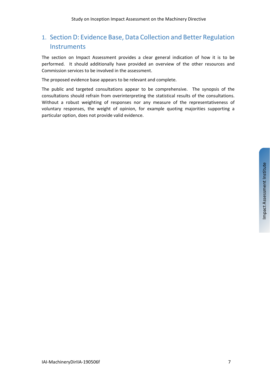## 1. Section D: Evidence Base, Data Collection and Better Regulation **Instruments**

The section on Impact Assessment provides a clear general indication of how it is to be performed. It should additionally have provided an overview of the other resources and Commission services to be involved in the assessment.

The proposed evidence base appears to be relevant and complete.

The public and targeted consultations appear to be comprehensive. The synopsis of the consultations should refrain from overinterpreting the statistical results of the consultations. Without a robust weighting of responses nor any measure of the representativeness of voluntary responses, the weight of opinion, for example quoting majorities supporting a particular option, does not provide valid evidence.